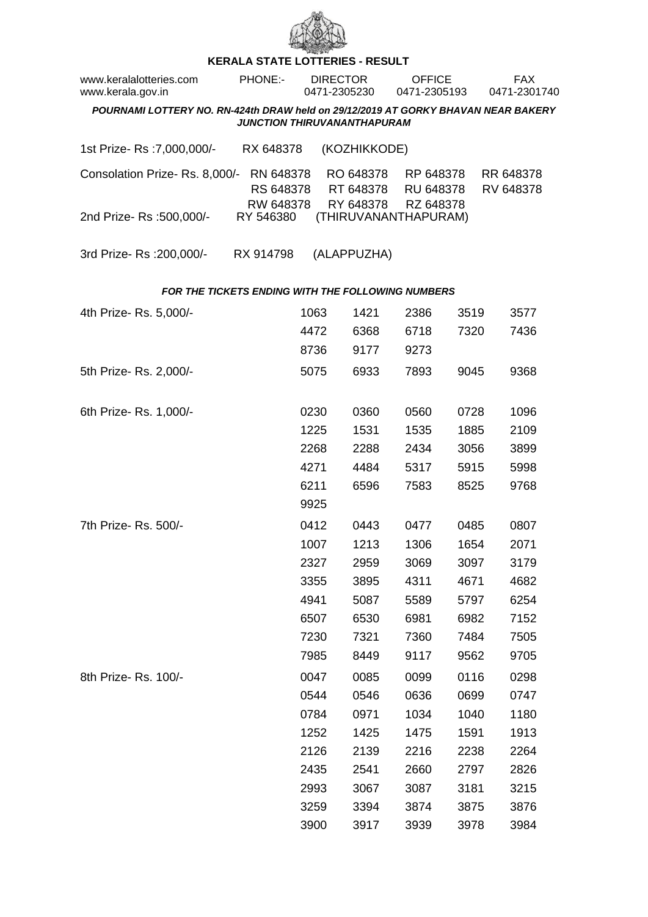

## **KERALA STATE LOTTERIES - RESULT**

| www.keralalotteries.com<br>www.kerala.gov.in                                                                            |  | PHONE:-                             |      | <b>DIRECTOR</b><br>0471-2305230 |                                     | <b>OFFICE</b><br>0471-2305193       |      |  | <b>FAX</b><br>0471-2301740 |  |  |  |
|-------------------------------------------------------------------------------------------------------------------------|--|-------------------------------------|------|---------------------------------|-------------------------------------|-------------------------------------|------|--|----------------------------|--|--|--|
| POURNAMI LOTTERY NO. RN-424th DRAW held on 29/12/2019 AT GORKY BHAVAN NEAR BAKERY<br><b>JUNCTION THIRUVANANTHAPURAM</b> |  |                                     |      |                                 |                                     |                                     |      |  |                            |  |  |  |
| 1st Prize-Rs : 7,000,000/-                                                                                              |  | RX 648378                           |      |                                 | (KOZHIKKODE)                        |                                     |      |  |                            |  |  |  |
| Consolation Prize-Rs. 8,000/-                                                                                           |  | RN 648378<br>RS 648378<br>RW 648378 |      |                                 | RO 648378<br>RT 648378<br>RY 648378 | RP 648378<br>RU 648378<br>RZ 648378 |      |  | RR 648378<br>RV 648378     |  |  |  |
| 2nd Prize- Rs : 500,000/-                                                                                               |  | RY 546380                           |      |                                 |                                     | (THIRUVANANTHAPURAM)                |      |  |                            |  |  |  |
| 3rd Prize-Rs : 200,000/-                                                                                                |  | RX 914798                           |      |                                 | (ALAPPUZHA)                         |                                     |      |  |                            |  |  |  |
| <b>FOR THE TICKETS ENDING WITH THE FOLLOWING NUMBERS</b>                                                                |  |                                     |      |                                 |                                     |                                     |      |  |                            |  |  |  |
| 4th Prize-Rs. 5,000/-                                                                                                   |  |                                     | 1063 |                                 | 1421                                | 2386                                | 3519 |  | 3577                       |  |  |  |
|                                                                                                                         |  |                                     | 4472 |                                 | 6368                                | 6718                                | 7320 |  | 7436                       |  |  |  |
|                                                                                                                         |  |                                     | 8736 |                                 | 9177                                | 9273                                |      |  |                            |  |  |  |
| 5th Prize-Rs. 2,000/-                                                                                                   |  |                                     | 5075 |                                 | 6933                                | 7893                                | 9045 |  | 9368                       |  |  |  |
| 6th Prize-Rs. 1,000/-                                                                                                   |  |                                     | 0230 |                                 | 0360                                | 0560                                | 0728 |  | 1096                       |  |  |  |
|                                                                                                                         |  |                                     | 1225 |                                 | 1531                                | 1535                                | 1885 |  | 2109                       |  |  |  |
|                                                                                                                         |  |                                     | 2268 |                                 | 2288                                | 2434                                | 3056 |  | 3899                       |  |  |  |
|                                                                                                                         |  |                                     | 4271 |                                 | 4484                                | 5317                                | 5915 |  | 5998                       |  |  |  |
|                                                                                                                         |  |                                     | 6211 |                                 | 6596                                | 7583                                | 8525 |  | 9768                       |  |  |  |
|                                                                                                                         |  |                                     | 9925 |                                 |                                     |                                     |      |  |                            |  |  |  |
| 7th Prize- Rs. 500/-                                                                                                    |  |                                     | 0412 |                                 | 0443                                | 0477                                | 0485 |  | 0807                       |  |  |  |
|                                                                                                                         |  |                                     | 1007 |                                 | 1213                                | 1306                                | 1654 |  | 2071                       |  |  |  |
|                                                                                                                         |  |                                     | 2327 |                                 | 2959                                | 3069                                | 3097 |  | 3179                       |  |  |  |
|                                                                                                                         |  |                                     | 3355 |                                 | 3895                                | 4311                                | 4671 |  | 4682                       |  |  |  |
|                                                                                                                         |  |                                     | 4941 |                                 | 5087                                | 5589                                | 5797 |  | 6254                       |  |  |  |
|                                                                                                                         |  |                                     | 6507 |                                 | 6530                                | 6981                                | 6982 |  | 7152                       |  |  |  |
|                                                                                                                         |  |                                     | 7230 |                                 | 7321                                | 7360                                | 7484 |  | 7505                       |  |  |  |
|                                                                                                                         |  |                                     | 7985 |                                 | 8449                                | 9117                                | 9562 |  | 9705                       |  |  |  |
| 8th Prize-Rs. 100/-                                                                                                     |  |                                     | 0047 |                                 | 0085                                | 0099                                | 0116 |  | 0298                       |  |  |  |
|                                                                                                                         |  |                                     | 0544 |                                 | 0546                                | 0636                                | 0699 |  | 0747                       |  |  |  |
|                                                                                                                         |  |                                     | 0784 |                                 | 0971                                | 1034                                | 1040 |  | 1180                       |  |  |  |
|                                                                                                                         |  |                                     | 1252 |                                 | 1425                                | 1475                                | 1591 |  | 1913                       |  |  |  |
|                                                                                                                         |  |                                     | 2126 |                                 | 2139                                | 2216                                | 2238 |  | 2264                       |  |  |  |
|                                                                                                                         |  |                                     | 2435 |                                 | 2541                                | 2660                                | 2797 |  | 2826                       |  |  |  |
|                                                                                                                         |  |                                     | 2993 |                                 | 3067                                | 3087                                | 3181 |  | 3215                       |  |  |  |
|                                                                                                                         |  |                                     | 3259 |                                 | 3394                                | 3874                                | 3875 |  | 3876                       |  |  |  |
|                                                                                                                         |  |                                     | 3900 |                                 | 3917                                | 3939                                | 3978 |  | 3984                       |  |  |  |